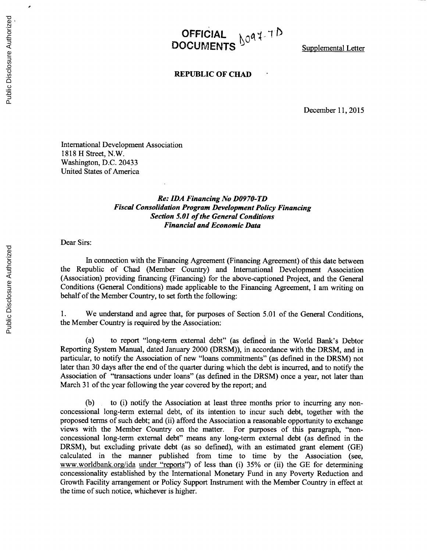OFFICIAL <sub>NO</sub>Q+TD **DOCUMENTS Supplemental Letter** 

## **REPUBLIC OF CHAD**

December **11, 2015**

International Development Association **1818** H Street, N.W. Washington, **D.C.** 20433 United States of America

## *Re: IDA Financing No D0970-TD Fiscal Consolidation Program Development Policy Financing Section 5.01 of the General Conditions Financial and Economic Data*

Dear Sirs:

In connection with the Financing Agreement (Financing Agreement) of this date between the Republic of Chad (Member Country) and International Development Association (Association) providing financing (Financing) for the above-captioned Project, and the General Conditions (General Conditions) made applicable to the Financing Agreement, I am writing on behalf of the Member Country, to set forth the following:

**1.** We understand and agree that, for purposes of Section **5.01** of the General Conditions, the Member Country is required **by** the Association:

(a) to report "long-term external debt" (as defined in the World Bank's Debtor Reporting System Manual, dated January 2000 (DRSM)), in accordance with the DRSM, and in particular, to notify the Association of new "loans commitments" (as defined in the DRSM) not later than **30** days after the end of the quarter during which the debt is incurred, and to notify the Association of "transactions under loans" (as defined in the DRSM) once a year, not later than March **31** of the year following the year covered **by** the report; and

**(b)** to (i) notify the Association at least three months prior to incurring any nonconcessional long-term external debt, of its intention to incur such debt, together with the proposed terms of such debt; and (ii) afford the Association a reasonable opportunity to exchange views with the Member Country on the matter. For purposes of this paragraph, "nonconcessional long-term external debt" means any long-term external debt (as defined in the DRSM), but excluding private debt (as so defined), with an estimated grant element **(GE)** calculated in the manner published from time to time **by** the Association (see, www.worldbank.org/ida under "reports") of less than (i) **35%** or (ii) the **GE** for determining concessionality established **by** the International Monetary Fund in any Poverty Reduction and Growth Facility arrangement or Policy Support Instrument with the Member Country in effect at the time of such notice, whichever is higher.

 $\overline{ }$